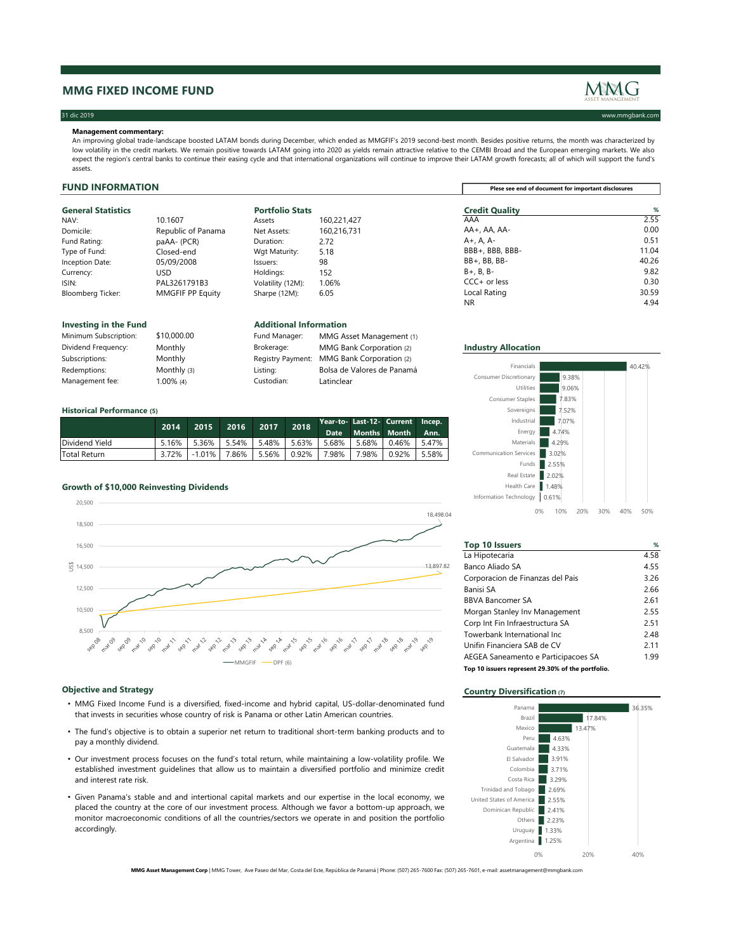## **MMG FIXED INCOME FUND**

## 31 dic 2019 www.mmgbank.com

## **FUND INFORMATION**

| <b>General Statistics</b> |  |  |  |
|---------------------------|--|--|--|
|---------------------------|--|--|--|

| <b>General Statistics</b> |                         | <b>Portfolio Stats</b> |             | <b>Credit Quality</b> | %     |
|---------------------------|-------------------------|------------------------|-------------|-----------------------|-------|
| NAV:                      | 10.1607                 | Assets                 | 160,221,427 | AAA                   | 2.55  |
| Domicile:                 | Republic of Panama      | Net Assets:            | 160,216,731 | AA+, AA, AA-          | 0.00  |
| Fund Rating:              | $p$ aAA- $(PCR)$        | Duration:              | 2.72        | A+, A, A-             | 0.51  |
| Type of Fund:             | Closed-end              | Wgt Maturity:          | 5.18        | BBB+, BBB, BBB-       | 11.04 |
| <b>Inception Date:</b>    | 05/09/2008              | Issuers:               | 98          | $BB+$ , BB, BB-       | 40.26 |
| Currency:                 | USD.                    | Holdings:              | 152         | $B+$ , $B$ , $B-$     | 9.82  |
| ISIN:                     | PAL3261791B3            | Volatility (12M):      | $1.06\%$    | $CCC + or less$       | 0.30  |
| <b>Bloomberg Ticker:</b>  | <b>MMGFIF PP Equity</b> | Sharpe (12M):          | 6.05        | Local Rating          | 30.59 |
|                           |                         |                        |             | <b>NR</b>             | 4.94  |

| Minimum Subscription: | \$10,000.00    | Fund Manager: | MMG Asset Management (1)                   |                            |
|-----------------------|----------------|---------------|--------------------------------------------|----------------------------|
| Dividend Frequency:   | Monthly        | Brokerage:    | MMG Bank Corporation (2)                   | <b>Industry Allocation</b> |
| Subscriptions:        | <b>Monthly</b> |               | Registry Payment: MMG Bank Corporation (2) |                            |
| Redemptions:          | Monthly $(3)$  | Listing:      | Bolsa de Valores de Panamá                 | Financials                 |
| Management fee:       | 1.00% (4)      | Custodian:    | Latinclear                                 | Consumer Discretionary     |
|                       |                |               |                                            |                            |

### **Historical Performance (5)**

| Additional Information |
|------------------------|

|                | <b>2014</b> \ |                       | 2015 2016 2017 |                                | 2018       |            | Year-to- Last-12- Current Incep.<br>Date Months Month Ann. |       |
|----------------|---------------|-----------------------|----------------|--------------------------------|------------|------------|------------------------------------------------------------|-------|
| Dividend Yield | 5.16%         | 5.36%   5.54%   5.48% |                |                                | $1.5.63\%$ | 5.68%      | 5.68%   0.46%                                              | 5.47% |
| Total Return   | 3.72%         |                       |                | -1.01%   7.86%   5.56%   0.92% |            | $7.98\%$ 1 | 7.98%   0.92%                                              | 5.58% |

## **Growth of \$10,000 Reinvesting Dividends**

| Minimum Subscription: | \$10,000.00   | Fund Manager:            | <b>MMG Ass</b> |
|-----------------------|---------------|--------------------------|----------------|
| Dividend Frequency:   | Monthly       | Brokerage:               | MMG Bar        |
| Subscriptions:        | Monthly       | <b>Registry Payment:</b> | <b>MMG Bar</b> |
| Redemptions:          | Monthly $(3)$ | Listing:                 | Bolsa de Y     |
| Management fee:       | $1.00\%$ (4)  | Custodian:               | Latinclear     |

| <b>Top 10 Issuers</b>                             | %    |
|---------------------------------------------------|------|
| La Hipotecaria                                    | 4.58 |
| Banco Aliado SA                                   | 4.55 |
| Corporacion de Finanzas del Pais                  | 3.26 |
| <b>Banisi SA</b>                                  | 2.66 |
| <b>BBVA Bancomer SA</b>                           | 2.61 |
| Morgan Stanley Inv Management                     | 2.55 |
| Corp Int Fin Infraestructura SA                   | 2.51 |
| Towerbank International Inc                       | 2.48 |
| Unifin Financiera SAB de CV                       | 2.11 |
| AEGEA Saneamento e Participacoes SA               | 1.99 |
| Top 10 issuers represent 29.30% of the portfolio. |      |

# **Objective and Strategy Country Diversification** (7)

**Plese see end of document for important disclosures**

| NAV:                     | 10.1607        |
|--------------------------|----------------|
| Domicile:                | Republic of Pa |
| Fund Rating:             | paAA- (PCR)    |
| Type of Fund:            | Closed-end     |
| Inception Date:          | 05/09/2008     |
| Currency:                | <b>USD</b>     |
| ISIN:                    | PAL3261791B    |
| <b>Bloomberg Ticker:</b> | MMGFIF PP Ed   |
|                          |                |

### **Investing in the Fund Additional Information**

| <b>Industry Allocation</b> |
|----------------------------|
|----------------------------|



| Financials                    |            | 40.42% |
|-------------------------------|------------|--------|
| <b>Consumer Discretionary</b> | 9.38%      |        |
| <b>Utilities</b>              | 9.06%      |        |
| <b>Consumer Staples</b>       | 7.83%      |        |
| Sovereigns                    | 7.52%      |        |
| Industrial                    | 7.07%      |        |
| Energy                        | 4.74%      |        |
| <b>Materials</b>              | 4.29%      |        |
| <b>Communication Services</b> | 3.02%      |        |
| Funds                         | 2.55%      |        |
| . <i>.</i>                    | . <i>.</i> |        |



- MMG Fixed Income Fund is a diversified, fixed-income and hybrid capital, US-dollar-denominated fund that invests in securities whose country of risk is Panama or other Latin American countries.
- The fund's objective is to obtain a superior net return to traditional short-term banking products and to pay a monthly dividend.
- Our investment process focuses on the fund's total return, while maintaining a low-volatility profile. We established investment guidelines that allow us to maintain a diversified portfolio and minimize credit and interest rate risk.
- Given Panama's stable and and intertional capital markets and our expertise in the local economy, we placed the country at the core of our investment process. Although we favor a bottom-up approach, we monitor macroeconomic conditions of all the countries/sectors we operate in and position the portfolio accordingly.



**MMG Asset Management Corp** | MMG Tower, Ave Paseo del Mar, Costa del Este, República de Panamá | Phone: (507) 265-7600 Fax: (507) 265-7601, e-mail: assetmanagement@mmgbank.com

### **Management commentary:**

An improving global trade-landscape boosted LATAM bonds during December, which ended as MMGFIF's 2019 second-best month. Besides positive returns, the month was characterized by low volatility in the credit markets. We remain positive towards LATAM going into 2020 as yields remain attractive relative to the CEMBI Broad and the European emerging markets. We also expect the region's central banks to continue their easing cycle and that international organizations will continue to improve their LATAM growth forecasts; all of which will support the fund's assets.